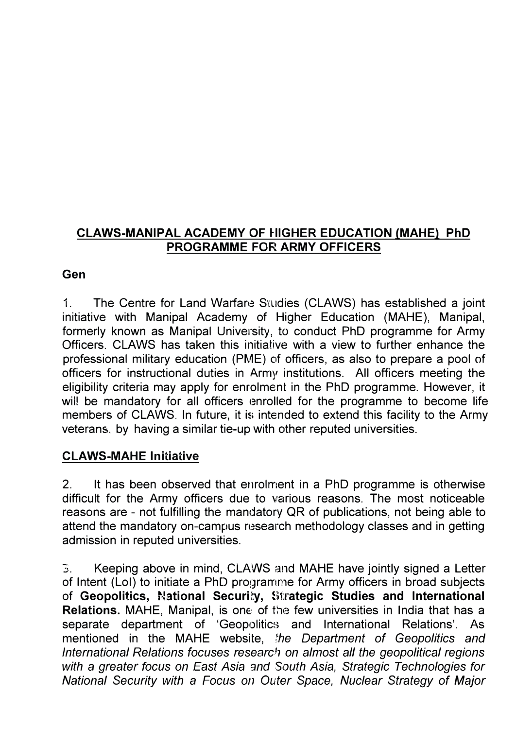## **CLAWS-MANIPAL ACADEMY OF HIGHER EDUCATION (MAHE) PhD PROGRAMME FOR ARMY OFFICERS**

### **Gen**

1. The Centre for Land Warfare Studies (CLAWS) has established a joint initiative with Manipal Academy of Higher Education (MAHE), Manipal, formerly known as Manipal University, *to* conduct PhD programme for Army Officers. CLAWS has taken this initiative with a view to further enhance the professional military education (PME) of officers, as also to prepare a pool of officers for instructional duties in Army institutions. All officers meeting the eligibility criteria may apply for enrolment in the PhD programme. However, it will be mandatory for all officers enrolled for the programme to become life members of CLAWS. In future, it is intended to extend this facility to the Army veterans. by having a similar tie-up with other reputed universities.

## **CLAWS-MAHE Initiative**

2. It has been observed that enrolment in a PhD programme is otherwise difficult for the Army officers due to various reasons. The most noticeable reasons are - not fulfilling the mandatory QR of publications, not being able to attend the mandatory on-campus research methodology classes and in getting admission in reputed universities.

3. Keeping above in mind, CLAWS and MAHE have jointly signed a Letter of Intent (LoI) to initiate a PhD programme for Army officers in broad subjects of Geopolitics, National Security, Strategic Studies and International Relations. MAHE, Manipal, is one of the few universities in India that has a separate department of 'Geopolitics and International Relations'. As mentioned in the MAHE website, *the Department of Geopolitics and International Relations focuses research on almost all the geopolitical regions with a greater focus on East Asia 3nd South Asia, Strategic Technologies for National Security with* a *Focus on Outer Space, Nuclear Strategy of Major*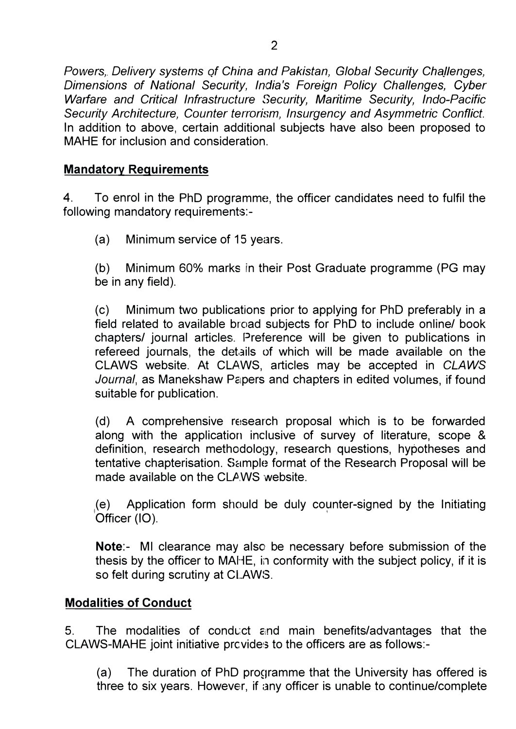*Powers, Delivery systems of China and Pakistan, Global Security Challenges, Dimensions of National Security, India's Foreign Policy Challenges, Cyber Warfare and Critical Infrastructure Security, Maritime Security, Inda-Pacific Security Architecture, Counter terrorism, Insurgency and Asymmetric Conflict.*  In addition to above, certain additional subjects have also been proposed to MAHE for inclusion and consideration.

## **Mandatory Requirements**

4. To enrol in the PhD programme, the officer candidates need to fulfil the following mandatory requirements:-

(a) Minimum service of 15 years.

(b) Minimum 60% marks in their Post Graduate programme (PG may be in any field).

(c) Minimum two publications prior to applying for PhD preferably in a field related to available broad subjects for PhD to include online/ book chapters/ journal articles. Preference will be given to publications in refereed journals, the details of which will be made available on the CLAWS website. At CLAWS, articles may be accepted in *CLAWS* Journal, as Manekshaw Papers and chapters in edited volumes, if found suitable for publication.

(d) A comprehensive reisearch proposal which is to be forwarded along with the application inclusive of survey of literature, scope & definition, research methodology, research questions, hypotheses and tentative chapterisation. Sample format of the Research Proposal will be made available on the CLAWS website.

, Officer (10). (e) Application form should be duly co�nter-signed by the Initiating

**Note:-** Ml clearance may also be necessary before submission of the thesis by the officer to MAHE, in conformity with the subject policy, if it is so felt during scrutiny at CLAWS.

# **Modalities of Conduct**

5. The modalities of conduct and main benefits/advantages that the CLAWS-MAHE joint initiative prcvides to the officers are as follows:-

(a) The duration of PhD programme that the University has offered is three to six years. However, if any officer is unable to continue/complete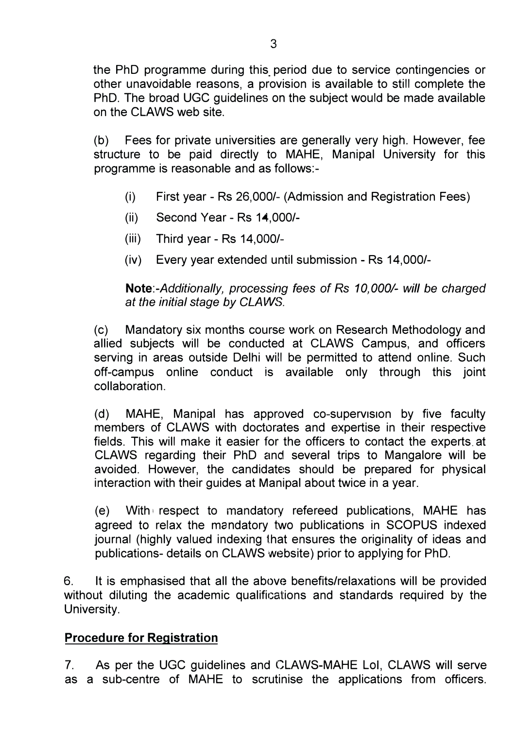the PhD programme during this period due to service contingencies or other unavoidable reasons, a provision is available to still complete the PhD. The broad UGC guidelines on the subject would be made available on the CLAWS web site.

(b) Fees for private universities are generally very high. However, fee structure to be paid directly to MAHE, Manipal University for this programme is reasonable and as follows:-

- (i) First year Rs 26,000/- (Admission and Registration Fees)
- (ii) Second Year Rs 14,000/-
- (iii) Third year Rs 14,000/-
- (iv) Every year extended until submission Rs 14,000/-

*Note:-Additionally, processing* fees *of Rs 10,000/- will be charged at the initial stage by CLAWS.* 

(c) Mandatory six months course work on Research Methodology and allied subjects will be conducted at CLAWS Campus, and officers serving in areas outside Delhi will be permitted to attend online. Such off-campus online conduct is available only through this joint collaboration.

(d) MAHE, Manipal has approved co-supervision by five faculty members of CLAWS with doctorates and expertise in their respective fields. This will make it easier for the officers to contact the experts at CLAWS regarding their PhD and several trips to Mangalore will be avoided. However, the candidates should be prepared for physical interaction with their guides at Manipal about twice in a year.

( e) With **I** respect to mandatory refereed publications, MAHE has agreed to relax the mandatory two publications in SCOPUS indexed journal (highly valued indexing that ensures the originality of ideas and publications- details on CLAWS website) prior to applying for PhD.

6. It is emphasised that all the above benefits/relaxations will be provided without diluting the academic qualifications and standards required by the University.

### **Procedure for Registration**

7. As per the UGC guidelines and CLAWS-MAHE Loi, CLAWS will serve as a sub-centre of MAHE to scrutinise the applications from officers.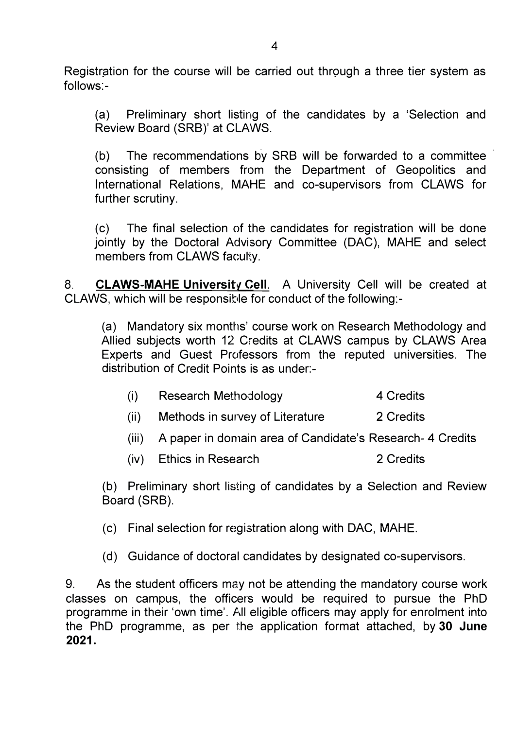Registration for the course will be carried out through a three tier system as follows:-

(a) Preliminary short listing of the candidates by a 'Selection and Review Board (SRB)' at CLAWS.

(b) The recommendations by SRB will be forwarded to a committee consisting of members from the Department of Geopolitics and International Relations, MAHE and co-supervisors from CLAWS for further scrutiny.

(c) The final selection of the candidates for registration will be done jointly by the Doctoral Advisory Committee (DAC), MAHE and select members from CLAWS faculty.

8. **CLAWS-MAHE University Cell.** A University Cell will be created at CLAWS, which will be responsible for conduct of the following:-

(a) Mandatory six months' course work on Research Methodology and Allied subjects worth 12 Credits at CLAWS campus by CLAWS Area Experts and Guest Professors from the reputed universities. The distribution of Credit Points is as under:-

| (i) | Research Methodology | 4 Credits |
|-----|----------------------|-----------|
|-----|----------------------|-----------|

- (ii) Methods in survey of Literature 2 Credits
- (iii) A paper in domain area of Candidate's Research- 4 Credits
- (iv) Ethics in Research 2 Credits

(b) Preliminary short listing of candidates by a Selection and Review Board (SRB).

(c) Final selection for registration along with DAC, MAHE.

(d) Guidance of doctoral candidates by designated co-supervisors.

9. As the student officers may not be attending the mandatory course work classes on campus, the officers would be required to pursue the PhD programme in their 'own time'. All eligible officers may apply for enrolment into the PhD programme, as per the application format attached, by **30 June 2021.**